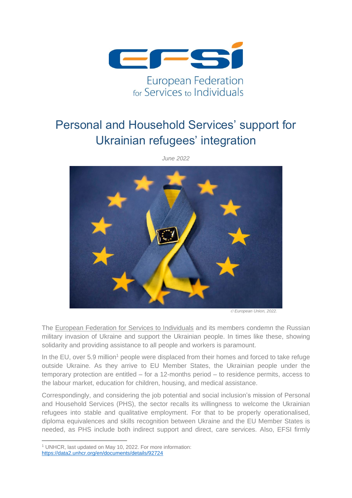

## Personal and Household Services' support for Ukrainian refugees' integration



*June 2022*

© *European Union, 2022.*

The European Federation for Services to Individuals and its members condemn the Russian military invasion of Ukraine and support the Ukrainian people. In times like these, showing solidarity and providing assistance to all people and workers is paramount.

In the EU, over 5.9 million<sup>1</sup> people were displaced from their homes and forced to take refuge outside Ukraine. As they arrive to EU Member States, the Ukrainian people under the temporary protection are entitled – for a 12-months period – to residence permits, access to the labour market, education for children, housing, and medical assistance.

Correspondingly, and considering the job potential and social inclusion's mission of Personal and Household Services (PHS), the sector recalls its willingness to welcome the Ukrainian refugees into stable and qualitative employment. For that to be properly operationalised, diploma equivalences and skills recognition between Ukraine and the EU Member States is needed, as PHS include both indirect support and direct, care services. Also, EFSI firmly

<sup>1</sup> UNHCR, last updated on May 10, 2022. For more information: <https://data2.unhcr.org/en/documents/details/92724>